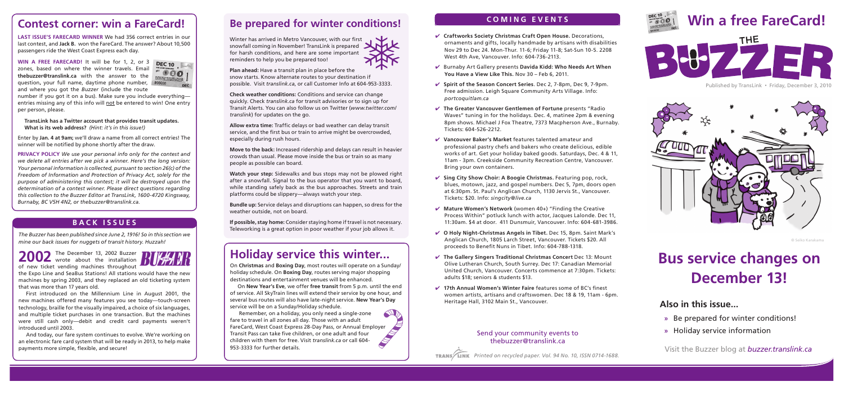# **Contest corner: win a FareCard!**

**Last ISSUE'S FARECARD Winner** We had 356 correct entries in our last contest, and **Jack B.** won the FareCard. The answer? About 10,500 passengers ride the West Coast Express each day.

**WIN A FREE FARECARD!** It will be for 1, 2, or 3 **DEC 10** zones, based on where the winner travels. Email **thebuzzer@translink.ca** with the answer to the question**,** your full name, daytime phone number, and where you got the *Buzzer* (include the route

 $81 020$ DEC

number if you got it on a bus). Make sure you include everything entries missing any of this info will not be entered to win! One entry per person, please.

**TransLink has a Twitter account that provides transit updates. What is its web address?** *(Hint: it's in this issue!)*

Enter by **Jan. 4 at 9am;** we'll draw a name from all correct entries! The winner will be notified by phone shortly after the draw.

**PRIVACY POLICY** *We use your personal info only for the contest and we delete all entries after we pick a winner. Here's the long version: Your personal information is collected, pursuant to section 26(c) of the Freedom of Information and Protection of Privacy Act, solely for the purpose of administering this contest; it will be destroyed upon the determination of a contest winner. Please direct questions regarding this collection to the Buzzer Editor at TransLink, 1600-4720 Kingsway, Burnaby, BC V5H 4N2, or thebuzzer@translink.ca.*

#### **B A C K I S S U E S**

*The Buzzer has been published since June 2, 1916! So in this section we mine our back issues for nuggets of transit history. Huzzah!*

2002 The December 13, 2002 Buzzer of new ticket vending machines throughout

the Expo Line and SeaBus Stations! All stations would have the new machines by spring 2003, and they replaced an old ticketing system that was more than 17 years old.

First introduced on the Millennium Line in August 2001, the new machines offered many features you see today—touch-screen technology, braille for the visually impaired, a choice of six languages, and multiple ticket purchases in one transaction. But the machines were still cash only—debit and credit card payments weren't introduced until 2003.

And today, our fare system continues to evolve. We're working on an electronic fare card system that will be ready in 2013, to help make payments more simple, flexible, and secure!

# **Be prepared for winter conditions!**

Winter has arrived in Metro Vancouver, with our first snowfall coming in November! TransLink is prepared for harsh conditions, and here are some important reminders to help you be prepared too!

**Plan ahead:** Have a transit plan in place before the snow starts. Know alternate routes to your destination if possible. Visit *translink.ca*, or call Customer Info at 604-953-3333.

**Check weather conditions:** Conditions and service can change quickly. Check *translink.ca* for transit advisories or to sign up for Transit Alerts. You can also follow us on Twitter (*www.twitter.com/ translink*) for updates on the go.

**Allow extra time:** Traffic delays or bad weather can delay transit service, and the first bus or train to arrive might be overcrowded, especially during rush hours.

**Move to the back:** Increased ridership and delays can result in heavier crowds than usual. Please move inside the bus or train so as many people as possible can board.

**Watch your step:** Sidewalks and bus stops may not be plowed right after a snowfall. Signal to the bus operator that you want to board, while standing safely back as the bus approaches. Streets and train platforms could be slippery—always watch your step.

**Bundle up:** Service delays and disruptions can happen, so dress for the weather outside, not on board.

**If possible, stay home:** Consider staying home if travel is not necessary. Teleworking is a great option in poor weather if your job allows it.

# **Holiday service this winter...**

On **Christmas** and **Boxing Day**, most routes will operate on a Sunday/ holiday schedule. On **Boxing Day**, routes serving major shopping destinations and entertainment venues will be enhanced.

On **New Year's Eve**, we offer **free transit** from 5 p.m. until the end of service. All SkyTrain lines will extend their service by one hour, and several bus routes will also have late-night service. **New Year's Day** service will be on a Sunday/Holiday schedule.

A Remember, on a holiday, you only need a single-zone fare to travel in all zones all day. Those with an adult  $\cancel{\blacktriangleright}$ FareCard, West Coast Express 28-Day Pass, or Annual Employer Transit Pass can take five children, or one adult and four **SERVICE** children with them for free. Visit *translink.ca* or call 604- 953-3333 for further details.

#### **C O M I N G E V E N T S**

- ✔ **Craftworks Society Christmas Craft Open House.** Decorations, ornaments and gifts, locally handmade by artisans with disabilities Nov 29 to Dec 24. Mon-Thur. 11-6; Friday 11-8; Sat-Sun 10-5. 2208 West 4th Ave, Vancouver. Info: 604-736-2113.
- ✔ Burnaby Art Gallery presents **Davida Kidd: Who Needs Art When You Have a View Like This.** Nov 30 – Feb 6, 2011.
- ✔ **Spirit of the Season Concert Series**. Dec 2, 7-8pm, Dec 9, 7-9pm. Free admission. Leigh Square Community Arts Village. Info: *portcoquitlam.ca*
- ✔ **The Greater Vancouver Gentlemen of Fortune** presents "Radio Waves" tuning in for the holidays. Dec. 4, matinee 2pm & evening 8pm shows. Michael J Fox Theatre, 7373 Macpherson Ave., Burnaby. Tickets: 604-526-2212.
- ✔ **Vancouver Baker's Market** features talented amateur and professional pastry chefs and bakers who create delicious, edible works of art. Get your holiday baked goods. Saturdays, Dec. 4 & 11, 11am - 3pm. Creekside Community Recreation Centre, Vancouver. Bring your own containers.
- ✔ **Sing City Show Choir: A Boogie Christmas.** Featuring pop, rock, blues, motown, jazz, and gospel numbers. Dec 5, 7pm, doors open at 6:30pm. St. Paul's Anglican Church, 1130 Jervis St., Vancouver. Tickets: \$20. Info: *singcity@live.ca*
- ✔ **Mature Women's Network** (women 40+) "Finding the Creative Process Within" potluck lunch with actor, Jacques Lalonde. Dec 11, 11:30am. \$4 at door. 411 Dunsmuir, Vancouver. Info: 604-681-3986.
- ✔ **O Holy Night-Christmas Angels in Tibet.** Dec 15, 8pm. Saint Mark's Anglican Church, 1805 Larch Street, Vancouver. Tickets \$20. All proceeds to Benefit Nuns in Tibet. Info: 604-788-1318.
- ✔ **The Gallery Singers Traditional Christmas Concert** Dec 13: Mount Olive Lutheran Church, South Surrey. Dec 17: Canadian Memorial United Church, Vancouver. Concerts commence at 7:30pm. Tickets: adults \$18; seniors & students \$13.
- ✔ **17th Annual Women's Winter Faire** features some of BC's finest women artists, artisans and craftswomen. Dec 18 & 19, 11am - 6pm. Heritage Hall, 3102 Main St., Vancouver. **Also in this issue...**

#### Send your community events to thebuzzer@translink.ca

*Printed on recycled paper. Vol. 94 No. 10, ISSN 0714-1688.*





DEC 1<sup>0</sup>

Published by TransLink • Friday, December 3, 2010



© Seiko Karakama

# **Bus service changes on December 13!**

- **»** Be prepared for winter conditions!
- **»** Holiday service information

Visit the Buzzer blog at *buzzer.translink.ca*